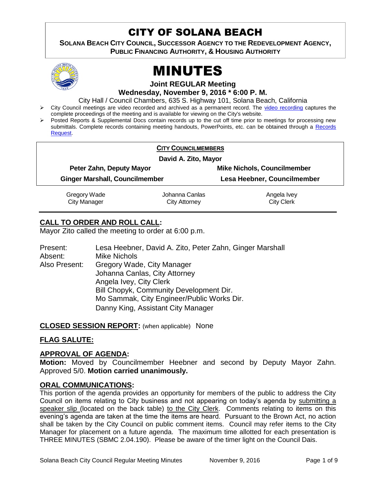# CITY OF SOLANA BEACH

**SOLANA BEACH CITY COUNCIL, SUCCESSOR AGENCY TO THE REDEVELOPMENT AGENCY, PUBLIC FINANCING AUTHORITY, & HOUSING AUTHORITY** 



# MINUTES

**Joint REGULAR Meeting**

**Wednesday, November 9, 2016 \* 6:00 P. M.**

City Hall / Council Chambers, 635 S. Highway 101, Solana Beach, California

- > City Council meetings are video recorded and archived as a permanent record. The [video recording](https://solanabeach.12milesout.com/video/meeting/92c3b70a-1022-4d8e-841f-134f3e0fb35b) captures the complete proceedings of the meeting and is available for viewing on the City's website.
- Posted Reports & Supplemental Docs contain records up to the cut off time prior to meetings for processing new submittals. Complete records containing meeting handouts, PowerPoints, etc. can be obtained through a [Records](http://www.ci.solana-beach.ca.us/index.asp?SEC=F5D45D10-70CE-4291-A27C-7BD633FC6742&Type=B_BASIC)  [Request.](http://www.ci.solana-beach.ca.us/index.asp?SEC=F5D45D10-70CE-4291-A27C-7BD633FC6742&Type=B_BASIC)

|                                       | <b>CITY COUNCILMEMBERS</b> |                                    |  |
|---------------------------------------|----------------------------|------------------------------------|--|
| David A. Zito, Mayor                  |                            |                                    |  |
| Peter Zahn, Deputy Mayor              |                            | <b>Mike Nichols, Councilmember</b> |  |
| <b>Ginger Marshall, Councilmember</b> |                            | Lesa Heebner, Councilmember        |  |
| Gregory Wade                          | Johanna Canlas             | Angela Ivey                        |  |
| <b>City Manager</b>                   | City Attorney              | <b>City Clerk</b>                  |  |

# **CALL TO ORDER AND ROLL CALL:**

Mayor Zito called the meeting to order at 6:00 p.m.

| Present:      | Lesa Heebner, David A. Zito, Peter Zahn, Ginger Marshall |
|---------------|----------------------------------------------------------|
| Absent:       | <b>Mike Nichols</b>                                      |
| Also Present: | Gregory Wade, City Manager                               |
|               | Johanna Canlas, City Attorney                            |
|               | Angela Ivey, City Clerk                                  |
|               | Bill Chopyk, Community Development Dir.                  |
|               | Mo Sammak, City Engineer/Public Works Dir.               |
|               | Danny King, Assistant City Manager                       |

**CLOSED SESSION REPORT:** (when applicable) None

#### **FLAG SALUTE:**

#### **APPROVAL OF AGENDA:**

**Motion:** Moved by Councilmember Heebner and second by Deputy Mayor Zahn. Approved 5/0. **Motion carried unanimously.**

#### **ORAL COMMUNICATIONS:**

This portion of the agenda provides an opportunity for members of the public to address the City Council on items relating to City business and not appearing on today's agenda by submitting a speaker slip (located on the back table) to the City Clerk. Comments relating to items on this evening's agenda are taken at the time the items are heard. Pursuant to the Brown Act, no action shall be taken by the City Council on public comment items. Council may refer items to the City Manager for placement on a future agenda. The maximum time allotted for each presentation is THREE MINUTES (SBMC 2.04.190). Please be aware of the timer light on the Council Dais.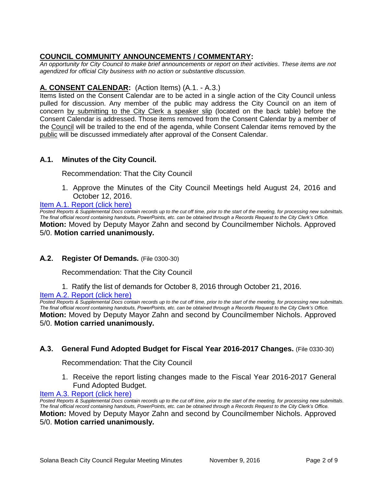# **COUNCIL COMMUNITY ANNOUNCEMENTS / COMMENTARY:**

*An opportunity for City Council to make brief announcements or report on their activities. These items are not agendized for official City business with no action or substantive discussion.* 

# **A. CONSENT CALENDAR:** (Action Items) (A.1. - A.3.)

Items listed on the Consent Calendar are to be acted in a single action of the City Council unless pulled for discussion. Any member of the public may address the City Council on an item of concern by submitting to the City Clerk a speaker slip (located on the back table) before the Consent Calendar is addressed. Those items removed from the Consent Calendar by a member of the Council will be trailed to the end of the agenda, while Consent Calendar items removed by the public will be discussed immediately after approval of the Consent Calendar.

# **A.1. Minutes of the City Council.**

Recommendation: That the City Council

1. Approve the Minutes of the City Council Meetings held August 24, 2016 and October 12, 2016.

#### [Item A.1. Report \(click here\)](https://solanabeach.govoffice3.com/vertical/Sites/%7B840804C2-F869-4904-9AE3-720581350CE7%7D/uploads/Item_A.1._Report_(click_here)_-_11-9-2016.pdf)

*Posted Reports & Supplemental Docs contain records up to the cut off time, prior to the start of the meeting, for processing new submittals. The final official record containing handouts, PowerPoints, etc. can be obtained through a Records Request to the City Clerk's Office.* **Motion:** Moved by Deputy Mayor Zahn and second by Councilmember Nichols. Approved 5/0. **Motion carried unanimously.**

#### **A.2. Register Of Demands.** (File 0300-30)

Recommendation: That the City Council

1. Ratify the list of demands for October 8, 2016 through October 21, 2016.

[Item A.2. Report \(click here\)](https://solanabeach.govoffice3.com/vertical/Sites/%7B840804C2-F869-4904-9AE3-720581350CE7%7D/uploads/Item_A.2._Report_(click_here)_-_11-9-16.PDF)

*Posted Reports & Supplemental Docs contain records up to the cut off time, prior to the start of the meeting, for processing new submittals. The final official record containing handouts, PowerPoints, etc. can be obtained through a Records Request to the City Clerk's Office.* **Motion:** Moved by Deputy Mayor Zahn and second by Councilmember Nichols. Approved 5/0. **Motion carried unanimously.**

#### **A.3. General Fund Adopted Budget for Fiscal Year 2016-2017 Changes.** (File 0330-30)

Recommendation: That the City Council

1. Receive the report listing changes made to the Fiscal Year 2016-2017 General Fund Adopted Budget.

#### [Item A.3. Report \(click here\)](https://solanabeach.govoffice3.com/vertical/Sites/%7B840804C2-F869-4904-9AE3-720581350CE7%7D/uploads/Item_A.3._Report_(click_here)_-_11-9-16.PDF)

*Posted Reports & Supplemental Docs contain records up to the cut off time, prior to the start of the meeting, for processing new submittals. The final official record containing handouts, PowerPoints, etc. can be obtained through a Records Request to the City Clerk's Office.* **Motion:** Moved by Deputy Mayor Zahn and second by Councilmember Nichols. Approved 5/0. **Motion carried unanimously.**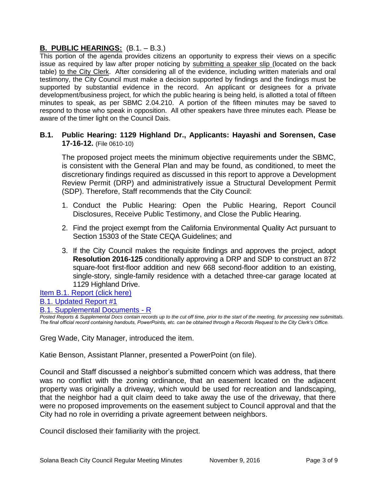# **B. PUBLIC HEARINGS:** (B.1. – B.3.)

This portion of the agenda provides citizens an opportunity to express their views on a specific issue as required by law after proper noticing by submitting a speaker slip (located on the back table) to the City Clerk. After considering all of the evidence, including written materials and oral testimony, the City Council must make a decision supported by findings and the findings must be supported by substantial evidence in the record. An applicant or designees for a private development/business project, for which the public hearing is being held, is allotted a total of fifteen minutes to speak, as per SBMC 2.04.210. A portion of the fifteen minutes may be saved to respond to those who speak in opposition. All other speakers have three minutes each. Please be aware of the timer light on the Council Dais.

#### **B.1. Public Hearing: 1129 Highland Dr., Applicants: Hayashi and Sorensen, Case 17-16-12.** (File 0610-10)

The proposed project meets the minimum objective requirements under the SBMC, is consistent with the General Plan and may be found, as conditioned, to meet the discretionary findings required as discussed in this report to approve a Development Review Permit (DRP) and administratively issue a Structural Development Permit (SDP). Therefore, Staff recommends that the City Council:

- 1. Conduct the Public Hearing: Open the Public Hearing, Report Council Disclosures, Receive Public Testimony, and Close the Public Hearing.
- 2. Find the project exempt from the California Environmental Quality Act pursuant to Section 15303 of the State CEQA Guidelines; and
- 3. If the City Council makes the requisite findings and approves the project, adopt **Resolution 2016-125** conditionally approving a DRP and SDP to construct an 872 square-foot first-floor addition and new 668 second-floor addition to an existing, single-story, single-family residence with a detached three-car garage located at 1129 Highland Drive.

[Item B.1. Report \(click here\)](https://solanabeach.govoffice3.com/vertical/Sites/%7B840804C2-F869-4904-9AE3-720581350CE7%7D/uploads/Item_B.1._Report_(click_here)_-_11-9-16.PDF)

[B.1. Updated Report #1](https://solanabeach.govoffice3.com/vertical/Sites/%7B840804C2-F869-4904-9AE3-720581350CE7%7D/uploads/B.1._Updated_Report__1_-_11-09-16.pdf)

[B.1. Supplemental Documents -](https://solanabeach.govoffice3.com/vertical/Sites/%7B840804C2-F869-4904-9AE3-720581350CE7%7D/uploads/B.1._Supplemental_Documents_updated_11-08_at_420pm_-_R.pdf) R

*Posted Reports & Supplemental Docs contain records up to the cut off time, prior to the start of the meeting, for processing new submittals. The final official record containing handouts, PowerPoints, etc. can be obtained through a Records Request to the City Clerk's Office.*

Greg Wade, City Manager, introduced the item.

Katie Benson, Assistant Planner, presented a PowerPoint (on file).

Council and Staff discussed a neighbor's submitted concern which was address, that there was no conflict with the zoning ordinance, that an easement located on the adjacent property was originally a driveway, which would be used for recreation and landscaping, that the neighbor had a quit claim deed to take away the use of the driveway, that there were no proposed improvements on the easement subject to Council approval and that the City had no role in overriding a private agreement between neighbors.

Council disclosed their familiarity with the project.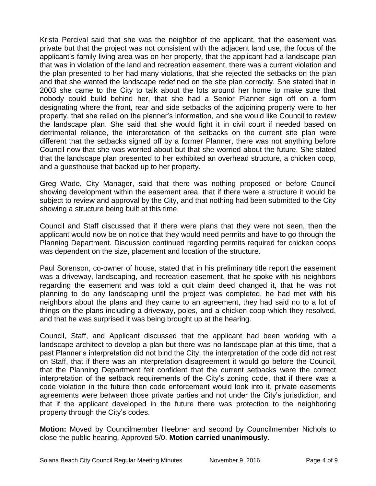Krista Percival said that she was the neighbor of the applicant, that the easement was private but that the project was not consistent with the adjacent land use, the focus of the applicant's family living area was on her property, that the applicant had a landscape plan that was in violation of the land and recreation easement, there was a current violation and the plan presented to her had many violations, that she rejected the setbacks on the plan and that she wanted the landscape redefined on the site plan correctly. She stated that in 2003 she came to the City to talk about the lots around her home to make sure that nobody could build behind her, that she had a Senior Planner sign off on a form designating where the front, rear and side setbacks of the adjoining property were to her property, that she relied on the planner's information, and she would like Council to review the landscape plan. She said that she would fight it in civil court if needed based on detrimental reliance, the interpretation of the setbacks on the current site plan were different that the setbacks signed off by a former Planner, there was not anything before Council now that she was worried about but that she worried about the future. She stated that the landscape plan presented to her exhibited an overhead structure, a chicken coop, and a guesthouse that backed up to her property.

Greg Wade, City Manager, said that there was nothing proposed or before Council showing development within the easement area, that if there were a structure it would be subject to review and approval by the City, and that nothing had been submitted to the City showing a structure being built at this time.

Council and Staff discussed that if there were plans that they were not seen, then the applicant would now be on notice that they would need permits and have to go through the Planning Department. Discussion continued regarding permits required for chicken coops was dependent on the size, placement and location of the structure.

Paul Sorenson, co-owner of house, stated that in his preliminary title report the easement was a driveway, landscaping, and recreation easement, that he spoke with his neighbors regarding the easement and was told a quit claim deed changed it, that he was not planning to do any landscaping until the project was completed, he had met with his neighbors about the plans and they came to an agreement, they had said no to a lot of things on the plans including a driveway, poles, and a chicken coop which they resolved, and that he was surprised it was being brought up at the hearing.

Council, Staff, and Applicant discussed that the applicant had been working with a landscape architect to develop a plan but there was no landscape plan at this time, that a past Planner's interpretation did not bind the City, the interpretation of the code did not rest on Staff, that if there was an interpretation disagreement it would go before the Council, that the Planning Department felt confident that the current setbacks were the correct interpretation of the setback requirements of the City's zoning code, that if there was a code violation in the future then code enforcement would look into it, private easements agreements were between those private parties and not under the City's jurisdiction, and that if the applicant developed in the future there was protection to the neighboring property through the City's codes.

**Motion:** Moved by Councilmember Heebner and second by Councilmember Nichols to close the public hearing. Approved 5/0. **Motion carried unanimously.**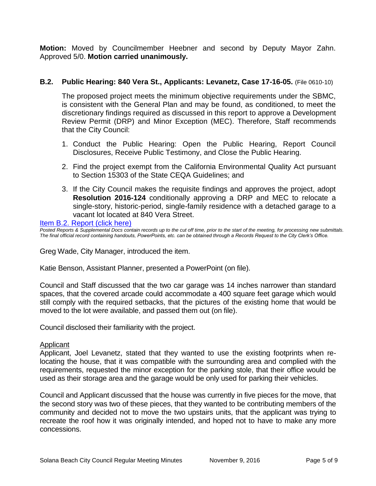**Motion:** Moved by Councilmember Heebner and second by Deputy Mayor Zahn. Approved 5/0. **Motion carried unanimously.**

#### **B.2. Public Hearing: 840 Vera St., Applicants: Levanetz, Case 17-16-05.** (File 0610-10)

The proposed project meets the minimum objective requirements under the SBMC, is consistent with the General Plan and may be found, as conditioned, to meet the discretionary findings required as discussed in this report to approve a Development Review Permit (DRP) and Minor Exception (MEC). Therefore, Staff recommends that the City Council:

- 1. Conduct the Public Hearing: Open the Public Hearing, Report Council Disclosures, Receive Public Testimony, and Close the Public Hearing.
- 2. Find the project exempt from the California Environmental Quality Act pursuant to Section 15303 of the State CEQA Guidelines; and
- 3. If the City Council makes the requisite findings and approves the project, adopt **Resolution 2016-124** conditionally approving a DRP and MEC to relocate a single-story, historic-period, single-family residence with a detached garage to a vacant lot located at 840 Vera Street.

[Item B.2. Report \(click here\)](https://solanabeach.govoffice3.com/vertical/Sites/%7B840804C2-F869-4904-9AE3-720581350CE7%7D/uploads/Item_B.2._Report_(click_here)_-_11-9-16.PDF)

*Posted Reports & Supplemental Docs contain records up to the cut off time, prior to the start of the meeting, for processing new submittals. The final official record containing handouts, PowerPoints, etc. can be obtained through a Records Request to the City Clerk's Office.*

Greg Wade, City Manager, introduced the item.

Katie Benson, Assistant Planner, presented a PowerPoint (on file).

Council and Staff discussed that the two car garage was 14 inches narrower than standard spaces, that the covered arcade could accommodate a 400 square feet garage which would still comply with the required setbacks, that the pictures of the existing home that would be moved to the lot were available, and passed them out (on file).

Council disclosed their familiarity with the project.

#### Applicant

Applicant, Joel Levanetz, stated that they wanted to use the existing footprints when relocating the house, that it was compatible with the surrounding area and complied with the requirements, requested the minor exception for the parking stole, that their office would be used as their storage area and the garage would be only used for parking their vehicles.

Council and Applicant discussed that the house was currently in five pieces for the move, that the second story was two of these pieces, that they wanted to be contributing members of the community and decided not to move the two upstairs units, that the applicant was trying to recreate the roof how it was originally intended, and hoped not to have to make any more concessions.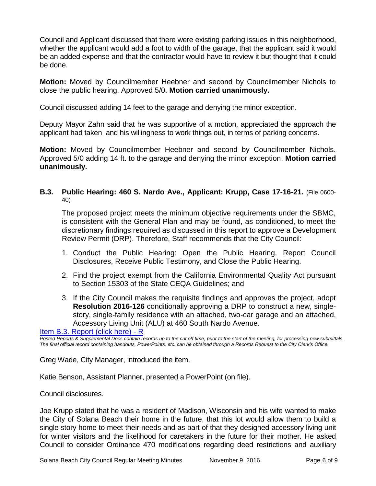Council and Applicant discussed that there were existing parking issues in this neighborhood, whether the applicant would add a foot to width of the garage, that the applicant said it would be an added expense and that the contractor would have to review it but thought that it could be done.

**Motion:** Moved by Councilmember Heebner and second by Councilmember Nichols to close the public hearing. Approved 5/0. **Motion carried unanimously.**

Council discussed adding 14 feet to the garage and denying the minor exception.

Deputy Mayor Zahn said that he was supportive of a motion, appreciated the approach the applicant had taken and his willingness to work things out, in terms of parking concerns.

**Motion:** Moved by Councilmember Heebner and second by Councilmember Nichols. Approved 5/0 adding 14 ft. to the garage and denying the minor exception. **Motion carried unanimously.**

**B.3. Public Hearing: 460 S. Nardo Ave., Applicant: Krupp, Case 17-16-21.** (File 0600- 40)

The proposed project meets the minimum objective requirements under the SBMC, is consistent with the General Plan and may be found, as conditioned, to meet the discretionary findings required as discussed in this report to approve a Development Review Permit (DRP). Therefore, Staff recommends that the City Council:

- 1. Conduct the Public Hearing: Open the Public Hearing, Report Council Disclosures, Receive Public Testimony, and Close the Public Hearing.
- 2. Find the project exempt from the California Environmental Quality Act pursuant to Section 15303 of the State CEQA Guidelines; and
- 3. If the City Council makes the requisite findings and approves the project, adopt **Resolution 2016-126** conditionally approving a DRP to construct a new, singlestory, single-family residence with an attached, two-car garage and an attached, Accessory Living Unit (ALU) at 460 South Nardo Avenue.

[Item B.3. Report \(click here\) -](https://solanabeach.govoffice3.com/vertical/Sites/%7B840804C2-F869-4904-9AE3-720581350CE7%7D/uploads/Item_B.3._Report_(click_here)_-_11-9-16_-_R.pdf) R

*Posted Reports & Supplemental Docs contain records up to the cut off time, prior to the start of the meeting, for processing new submittals. The final official record containing handouts, PowerPoints, etc. can be obtained through a Records Request to the City Clerk's Office.*

Greg Wade, City Manager, introduced the item.

Katie Benson, Assistant Planner, presented a PowerPoint (on file).

Council disclosures.

Joe Krupp stated that he was a resident of Madison, Wisconsin and his wife wanted to make the City of Solana Beach their home in the future, that this lot would allow them to build a single story home to meet their needs and as part of that they designed accessory living unit for winter visitors and the likelihood for caretakers in the future for their mother. He asked Council to consider Ordinance 470 modifications regarding deed restrictions and auxiliary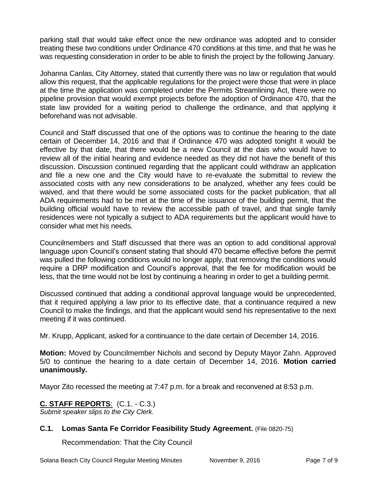parking stall that would take effect once the new ordinance was adopted and to consider treating these two conditions under Ordinance 470 conditions at this time, and that he was he was requesting consideration in order to be able to finish the project by the following January.

Johanna Canlas, City Attorney, stated that currently there was no law or regulation that would allow this request, that the applicable regulations for the project were those that were in place at the time the application was completed under the Permits Streamlining Act, there were no pipeline provision that would exempt projects before the adoption of Ordinance 470, that the state law provided for a waiting period to challenge the ordinance, and that applying it beforehand was not advisable.

Council and Staff discussed that one of the options was to continue the hearing to the date certain of December 14, 2016 and that if Ordinance 470 was adopted tonight it would be effective by that date, that there would be a new Council at the dais who would have to review all of the initial hearing and evidence needed as they did not have the benefit of this discussion. Discussion continued regarding that the applicant could withdraw an application and file a new one and the City would have to re-evaluate the submittal to review the associated costs with any new considerations to be analyzed, whether any fees could be waived, and that there would be some associated costs for the packet publication, that all ADA requirements had to be met at the time of the issuance of the building permit, that the building official would have to review the accessible path of travel, and that single family residences were not typically a subject to ADA requirements but the applicant would have to consider what met his needs.

Councilmembers and Staff discussed that there was an option to add conditional approval language upon Council's consent stating that should 470 became effective before the permit was pulled the following conditions would no longer apply, that removing the conditions would require a DRP modification and Council's approval, that the fee for modification would be less, that the time would not be lost by continuing a hearing in order to get a building permit.

Discussed continued that adding a conditional approval language would be unprecedented, that it required applying a law prior to its effective date, that a continuance required a new Council to make the findings, and that the applicant would send his representative to the next meeting if it was continued.

Mr. Krupp, Applicant, asked for a continuance to the date certain of December 14, 2016.

**Motion:** Moved by Councilmember Nichols and second by Deputy Mayor Zahn. Approved 5/0 to continue the hearing to a date certain of December 14, 2016. **Motion carried unanimously.**

Mayor Zito recessed the meeting at 7:47 p.m. for a break and reconvened at 8:53 p.m.

# **C. STAFF REPORTS**: (C.1. - C.3.)

*Submit speaker slips to the City Clerk.*

#### **C.1. Lomas Santa Fe Corridor Feasibility Study Agreement.** (File 0820-75)

Recommendation: That the City Council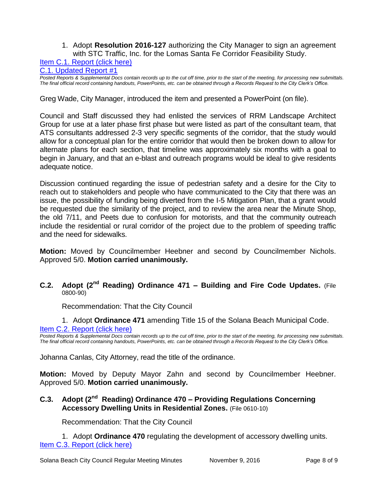#### 1. Adopt **Resolution 2016-127** authorizing the City Manager to sign an agreement with STC Traffic, Inc. for the Lomas Santa Fe Corridor Feasibility Study.

#### [Item C.1. Report \(click here\)](https://solanabeach.govoffice3.com/vertical/Sites/%7B840804C2-F869-4904-9AE3-720581350CE7%7D/uploads/Item_C.1._Report_(click_here)_-_11-9-16.PDF)

[C.1. Updated Report #1](https://solanabeach.govoffice3.com/vertical/Sites/%7B840804C2-F869-4904-9AE3-720581350CE7%7D/uploads/C.1._Updated_Report__1_-_11-09-16.pdf)

*Posted Reports & Supplemental Docs contain records up to the cut off time, prior to the start of the meeting, for processing new submittals. The final official record containing handouts, PowerPoints, etc. can be obtained through a Records Request to the City Clerk's Office.*

Greg Wade, City Manager, introduced the item and presented a PowerPoint (on file).

Council and Staff discussed they had enlisted the services of RRM Landscape Architect Group for use at a later phase first phase but were listed as part of the consultant team, that ATS consultants addressed 2-3 very specific segments of the corridor, that the study would allow for a conceptual plan for the entire corridor that would then be broken down to allow for alternate plans for each section, that timeline was approximately six months with a goal to begin in January, and that an e-blast and outreach programs would be ideal to give residents adequate notice.

Discussion continued regarding the issue of pedestrian safety and a desire for the City to reach out to stakeholders and people who have communicated to the City that there was an issue, the possibility of funding being diverted from the I-5 Mitigation Plan, that a grant would be requested due the similarity of the project, and to review the area near the Minute Shop, the old 7/11, and Peets due to confusion for motorists, and that the community outreach include the residential or rural corridor of the project due to the problem of speeding traffic and the need for sidewalks.

**Motion:** Moved by Councilmember Heebner and second by Councilmember Nichols. Approved 5/0. **Motion carried unanimously.**

#### **C.2. Adopt (2nd Reading) Ordinance 471 – Building and Fire Code Updates.** (File 0800-90)

Recommendation: That the City Council

1. Adopt **Ordinance 471** amending Title 15 of the Solana Beach Municipal Code. [Item C.2. Report \(click here\)](https://solanabeach.govoffice3.com/vertical/Sites/%7B840804C2-F869-4904-9AE3-720581350CE7%7D/uploads/Item_C.2._Report_(click_here)_-_11-9-16.PDF)

*Posted Reports & Supplemental Docs contain records up to the cut off time, prior to the start of the meeting, for processing new submittals. The final official record containing handouts, PowerPoints, etc. can be obtained through a Records Request to the City Clerk's Office.*

Johanna Canlas, City Attorney, read the title of the ordinance.

**Motion:** Moved by Deputy Mayor Zahn and second by Councilmember Heebner. Approved 5/0. **Motion carried unanimously.**

### **C.3. Adopt (2nd Reading) Ordinance 470 – Providing Regulations Concerning Accessory Dwelling Units in Residential Zones.** (File 0610-10)

Recommendation: That the City Council

1. Adopt **Ordinance 470** regulating the development of accessory dwelling units. [Item C.3. Report \(click here\)](https://solanabeach.govoffice3.com/vertical/Sites/%7B840804C2-F869-4904-9AE3-720581350CE7%7D/uploads/Item_C.3._Report_(click_here)_-_11-9-16.PDF)